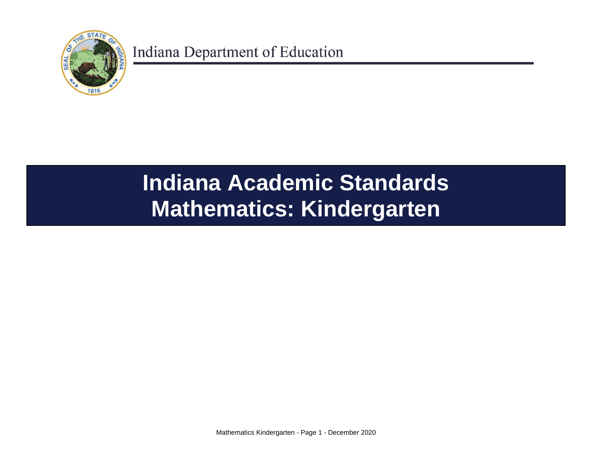

# **Indiana Academic Standards Mathematics: Kindergarten**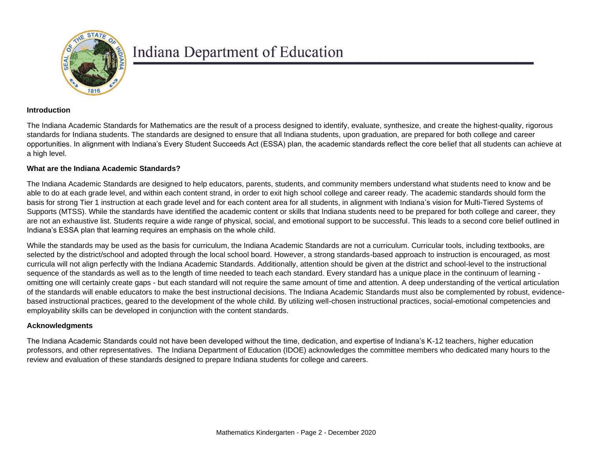

### **Introduction**

The Indiana Academic Standards for Mathematics are the result of a process designed to identify, evaluate, synthesize, and create the highest-quality, rigorous standards for Indiana students. The standards are designed to ensure that all Indiana students, upon graduation, are prepared for both college and career opportunities. In alignment with Indiana's Every Student Succeeds Act (ESSA) plan, the academic standards reflect the core belief that all students can achieve at a high level.

### **What are the Indiana Academic Standards?**

The Indiana Academic Standards are designed to help educators, parents, students, and community members understand what students need to know and be able to do at each grade level, and within each content strand, in order to exit high school college and career ready. The academic standards should form the basis for strong Tier 1 instruction at each grade level and for each content area for all students, in alignment with Indiana's vision for Multi-Tiered Systems of Supports (MTSS). While the standards have identified the academic content or skills that Indiana students need to be prepared for both college and career, they are not an exhaustive list. Students require a wide range of physical, social, and emotional support to be successful. This leads to a second core belief outlined in Indiana's ESSA plan that learning requires an emphasis on the whole child.

While the standards may be used as the basis for curriculum, the Indiana Academic Standards are not a curriculum. Curricular tools, including textbooks, are selected by the district/school and adopted through the local school board. However, a strong standards-based approach to instruction is encouraged, as most curricula will not align perfectly with the Indiana Academic Standards. Additionally, attention should be given at the district and school-level to the instructional sequence of the standards as well as to the length of time needed to teach each standard. Every standard has a unique place in the continuum of learning omitting one will certainly create gaps - but each standard will not require the same amount of time and attention. A deep understanding of the vertical articulation of the standards will enable educators to make the best instructional decisions. The Indiana Academic Standards must also be complemented by robust, evidencebased instructional practices, geared to the development of the whole child. By utilizing well-chosen instructional practices, social-emotional competencies and employability skills can be developed in conjunction with the content standards.

#### **Acknowledgments**

The Indiana Academic Standards could not have been developed without the time, dedication, and expertise of Indiana's K-12 teachers, higher education professors, and other representatives. The Indiana Department of Education (IDOE) acknowledges the committee members who dedicated many hours to the review and evaluation of these standards designed to prepare Indiana students for college and careers.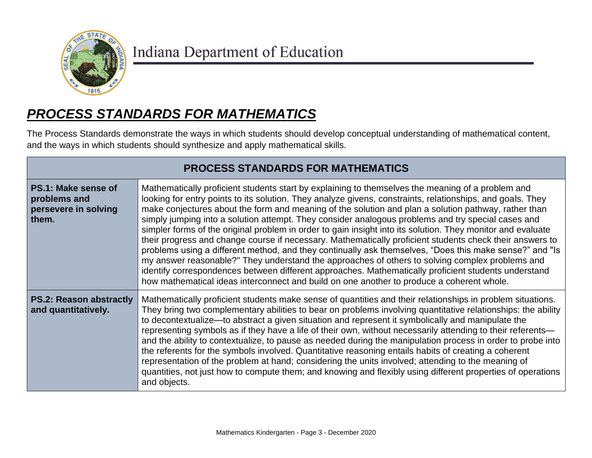

## *PROCESS STANDARDS FOR MATHEMATICS*

The Process Standards demonstrate the ways in which students should develop conceptual understanding of mathematical content, and the ways in which students should synthesize and apply mathematical skills.

| <b>PROCESS STANDARDS FOR MATHEMATICS</b>                             |                                                                                                                                                                                                                                                                                                                                                                                                                                                                                                                                                                                                                                                                                                                                                                                                                                                                                                                                                                                                                                                                             |  |
|----------------------------------------------------------------------|-----------------------------------------------------------------------------------------------------------------------------------------------------------------------------------------------------------------------------------------------------------------------------------------------------------------------------------------------------------------------------------------------------------------------------------------------------------------------------------------------------------------------------------------------------------------------------------------------------------------------------------------------------------------------------------------------------------------------------------------------------------------------------------------------------------------------------------------------------------------------------------------------------------------------------------------------------------------------------------------------------------------------------------------------------------------------------|--|
| PS.1: Make sense of<br>problems and<br>persevere in solving<br>them. | Mathematically proficient students start by explaining to themselves the meaning of a problem and<br>looking for entry points to its solution. They analyze givens, constraints, relationships, and goals. They<br>make conjectures about the form and meaning of the solution and plan a solution pathway, rather than<br>simply jumping into a solution attempt. They consider analogous problems and try special cases and<br>simpler forms of the original problem in order to gain insight into its solution. They monitor and evaluate<br>their progress and change course if necessary. Mathematically proficient students check their answers to<br>problems using a different method, and they continually ask themselves, "Does this make sense?" and "Is<br>my answer reasonable?" They understand the approaches of others to solving complex problems and<br>identify correspondences between different approaches. Mathematically proficient students understand<br>how mathematical ideas interconnect and build on one another to produce a coherent whole. |  |
| <b>PS.2: Reason abstractly</b><br>and quantitatively.                | Mathematically proficient students make sense of quantities and their relationships in problem situations.<br>They bring two complementary abilities to bear on problems involving quantitative relationships: the ability<br>to decontextualize—to abstract a given situation and represent it symbolically and manipulate the<br>representing symbols as if they have a life of their own, without necessarily attending to their referents—<br>and the ability to contextualize, to pause as needed during the manipulation process in order to probe into<br>the referents for the symbols involved. Quantitative reasoning entails habits of creating a coherent<br>representation of the problem at hand; considering the units involved; attending to the meaning of<br>quantities, not just how to compute them; and knowing and flexibly using different properties of operations<br>and objects.                                                                                                                                                                  |  |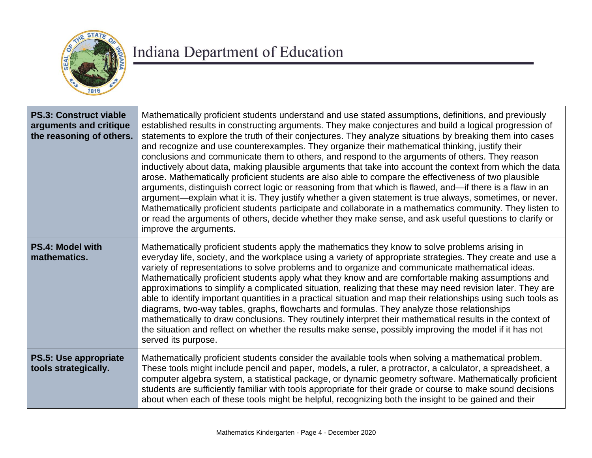

| <b>PS.3: Construct viable</b><br>arguments and critique<br>the reasoning of others. | Mathematically proficient students understand and use stated assumptions, definitions, and previously<br>established results in constructing arguments. They make conjectures and build a logical progression of<br>statements to explore the truth of their conjectures. They analyze situations by breaking them into cases<br>and recognize and use counterexamples. They organize their mathematical thinking, justify their<br>conclusions and communicate them to others, and respond to the arguments of others. They reason<br>inductively about data, making plausible arguments that take into account the context from which the data<br>arose. Mathematically proficient students are also able to compare the effectiveness of two plausible<br>arguments, distinguish correct logic or reasoning from that which is flawed, and—if there is a flaw in an<br>argument—explain what it is. They justify whether a given statement is true always, sometimes, or never.<br>Mathematically proficient students participate and collaborate in a mathematics community. They listen to<br>or read the arguments of others, decide whether they make sense, and ask useful questions to clarify or<br>improve the arguments. |
|-------------------------------------------------------------------------------------|--------------------------------------------------------------------------------------------------------------------------------------------------------------------------------------------------------------------------------------------------------------------------------------------------------------------------------------------------------------------------------------------------------------------------------------------------------------------------------------------------------------------------------------------------------------------------------------------------------------------------------------------------------------------------------------------------------------------------------------------------------------------------------------------------------------------------------------------------------------------------------------------------------------------------------------------------------------------------------------------------------------------------------------------------------------------------------------------------------------------------------------------------------------------------------------------------------------------------------------|
| <b>PS.4: Model with</b><br>mathematics.                                             | Mathematically proficient students apply the mathematics they know to solve problems arising in<br>everyday life, society, and the workplace using a variety of appropriate strategies. They create and use a<br>variety of representations to solve problems and to organize and communicate mathematical ideas.<br>Mathematically proficient students apply what they know and are comfortable making assumptions and<br>approximations to simplify a complicated situation, realizing that these may need revision later. They are<br>able to identify important quantities in a practical situation and map their relationships using such tools as<br>diagrams, two-way tables, graphs, flowcharts and formulas. They analyze those relationships<br>mathematically to draw conclusions. They routinely interpret their mathematical results in the context of<br>the situation and reflect on whether the results make sense, possibly improving the model if it has not<br>served its purpose.                                                                                                                                                                                                                                |
| PS.5: Use appropriate<br>tools strategically.                                       | Mathematically proficient students consider the available tools when solving a mathematical problem.<br>These tools might include pencil and paper, models, a ruler, a protractor, a calculator, a spreadsheet, a<br>computer algebra system, a statistical package, or dynamic geometry software. Mathematically proficient<br>students are sufficiently familiar with tools appropriate for their grade or course to make sound decisions<br>about when each of these tools might be helpful, recognizing both the insight to be gained and their                                                                                                                                                                                                                                                                                                                                                                                                                                                                                                                                                                                                                                                                                  |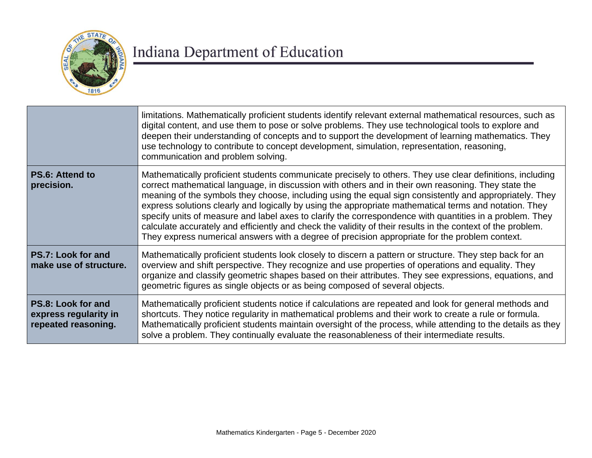

|                                                                    | limitations. Mathematically proficient students identify relevant external mathematical resources, such as<br>digital content, and use them to pose or solve problems. They use technological tools to explore and<br>deepen their understanding of concepts and to support the development of learning mathematics. They<br>use technology to contribute to concept development, simulation, representation, reasoning,<br>communication and problem solving.                                                                                                                                                                                                                                                                                                     |
|--------------------------------------------------------------------|--------------------------------------------------------------------------------------------------------------------------------------------------------------------------------------------------------------------------------------------------------------------------------------------------------------------------------------------------------------------------------------------------------------------------------------------------------------------------------------------------------------------------------------------------------------------------------------------------------------------------------------------------------------------------------------------------------------------------------------------------------------------|
| <b>PS.6: Attend to</b><br>precision.                               | Mathematically proficient students communicate precisely to others. They use clear definitions, including<br>correct mathematical language, in discussion with others and in their own reasoning. They state the<br>meaning of the symbols they choose, including using the equal sign consistently and appropriately. They<br>express solutions clearly and logically by using the appropriate mathematical terms and notation. They<br>specify units of measure and label axes to clarify the correspondence with quantities in a problem. They<br>calculate accurately and efficiently and check the validity of their results in the context of the problem.<br>They express numerical answers with a degree of precision appropriate for the problem context. |
| PS.7: Look for and<br>make use of structure.                       | Mathematically proficient students look closely to discern a pattern or structure. They step back for an<br>overview and shift perspective. They recognize and use properties of operations and equality. They<br>organize and classify geometric shapes based on their attributes. They see expressions, equations, and<br>geometric figures as single objects or as being composed of several objects.                                                                                                                                                                                                                                                                                                                                                           |
| PS.8: Look for and<br>express regularity in<br>repeated reasoning. | Mathematically proficient students notice if calculations are repeated and look for general methods and<br>shortcuts. They notice regularity in mathematical problems and their work to create a rule or formula.<br>Mathematically proficient students maintain oversight of the process, while attending to the details as they<br>solve a problem. They continually evaluate the reasonableness of their intermediate results.                                                                                                                                                                                                                                                                                                                                  |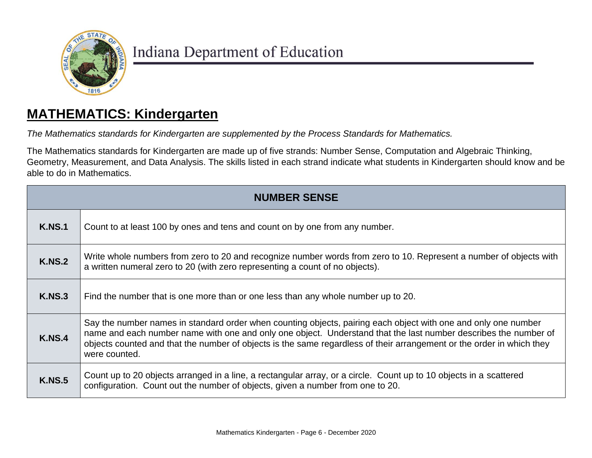

# **MATHEMATICS: Kindergarten**

*The Mathematics standards for Kindergarten are supplemented by the Process Standards for Mathematics.*

The Mathematics standards for Kindergarten are made up of five strands: Number Sense, Computation and Algebraic Thinking, Geometry, Measurement, and Data Analysis. The skills listed in each strand indicate what students in Kindergarten should know and be able to do in Mathematics.

| <b>NUMBER SENSE</b> |                                                                                                                                                                                                                                                                                                                                                                             |
|---------------------|-----------------------------------------------------------------------------------------------------------------------------------------------------------------------------------------------------------------------------------------------------------------------------------------------------------------------------------------------------------------------------|
| <b>K.NS.1</b>       | Count to at least 100 by ones and tens and count on by one from any number.                                                                                                                                                                                                                                                                                                 |
| <b>K.NS.2</b>       | Write whole numbers from zero to 20 and recognize number words from zero to 10. Represent a number of objects with<br>a written numeral zero to 20 (with zero representing a count of no objects).                                                                                                                                                                          |
| <b>K.NS.3</b>       | Find the number that is one more than or one less than any whole number up to 20.                                                                                                                                                                                                                                                                                           |
| <b>K.NS.4</b>       | Say the number names in standard order when counting objects, pairing each object with one and only one number<br>name and each number name with one and only one object. Understand that the last number describes the number of<br>objects counted and that the number of objects is the same regardless of their arrangement or the order in which they<br>were counted. |
| <b>K.NS.5</b>       | Count up to 20 objects arranged in a line, a rectangular array, or a circle. Count up to 10 objects in a scattered<br>configuration. Count out the number of objects, given a number from one to 20.                                                                                                                                                                        |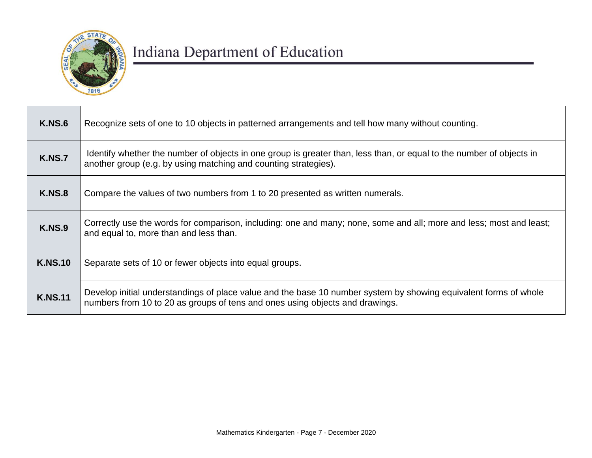

| <b>K.NS.6</b>  | Recognize sets of one to 10 objects in patterned arrangements and tell how many without counting.                                                                                                |
|----------------|--------------------------------------------------------------------------------------------------------------------------------------------------------------------------------------------------|
| <b>K.NS.7</b>  | Identify whether the number of objects in one group is greater than, less than, or equal to the number of objects in<br>another group (e.g. by using matching and counting strategies).          |
| <b>K.NS.8</b>  | Compare the values of two numbers from 1 to 20 presented as written numerals.                                                                                                                    |
| <b>K.NS.9</b>  | Correctly use the words for comparison, including: one and many; none, some and all; more and less; most and least;<br>and equal to, more than and less than.                                    |
| <b>K.NS.10</b> | Separate sets of 10 or fewer objects into equal groups.                                                                                                                                          |
| <b>K.NS.11</b> | Develop initial understandings of place value and the base 10 number system by showing equivalent forms of whole<br>numbers from 10 to 20 as groups of tens and ones using objects and drawings. |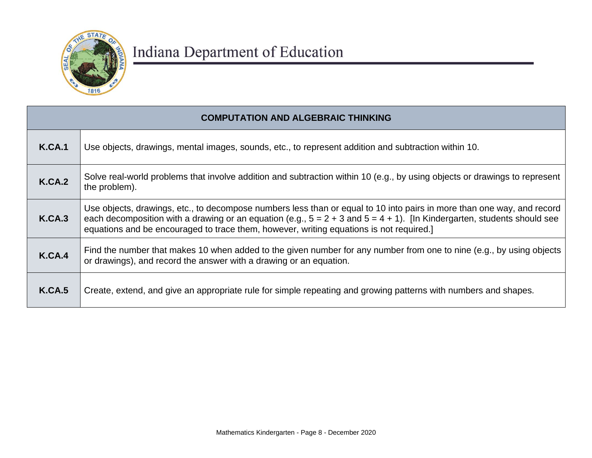

| <b>K.CA.1</b> | Use objects, drawings, mental images, sounds, etc., to represent addition and subtraction within 10.                                                                                                                                                                                                                                              |
|---------------|---------------------------------------------------------------------------------------------------------------------------------------------------------------------------------------------------------------------------------------------------------------------------------------------------------------------------------------------------|
| <b>K.CA.2</b> | Solve real-world problems that involve addition and subtraction within 10 (e.g., by using objects or drawings to represent<br>the problem).                                                                                                                                                                                                       |
| <b>K.CA.3</b> | Use objects, drawings, etc., to decompose numbers less than or equal to 10 into pairs in more than one way, and record<br>each decomposition with a drawing or an equation (e.g., $5 = 2 + 3$ and $5 = 4 + 1$ ). [In Kindergarten, students should see<br>equations and be encouraged to trace them, however, writing equations is not required.] |
| <b>K.CA.4</b> | Find the number that makes 10 when added to the given number for any number from one to nine (e.g., by using objects<br>or drawings), and record the answer with a drawing or an equation.                                                                                                                                                        |
| <b>K.CA.5</b> | Create, extend, and give an appropriate rule for simple repeating and growing patterns with numbers and shapes.                                                                                                                                                                                                                                   |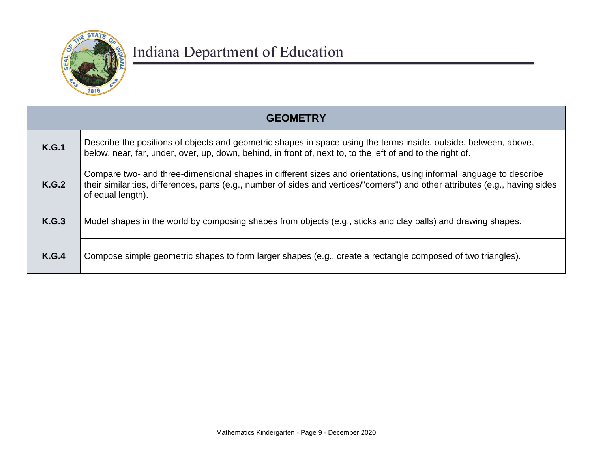

| <b>GEOMETRY</b> |                                                                                                                                                                                                                                                                           |  |
|-----------------|---------------------------------------------------------------------------------------------------------------------------------------------------------------------------------------------------------------------------------------------------------------------------|--|
| <b>K.G.1</b>    | Describe the positions of objects and geometric shapes in space using the terms inside, outside, between, above,<br>below, near, far, under, over, up, down, behind, in front of, next to, to the left of and to the right of.                                            |  |
| <b>K.G.2</b>    | Compare two- and three-dimensional shapes in different sizes and orientations, using informal language to describe<br>their similarities, differences, parts (e.g., number of sides and vertices/"corners") and other attributes (e.g., having sides<br>of equal length). |  |
| K.G.3           | Model shapes in the world by composing shapes from objects (e.g., sticks and clay balls) and drawing shapes.                                                                                                                                                              |  |
| <b>K.G.4</b>    | Compose simple geometric shapes to form larger shapes (e.g., create a rectangle composed of two triangles).                                                                                                                                                               |  |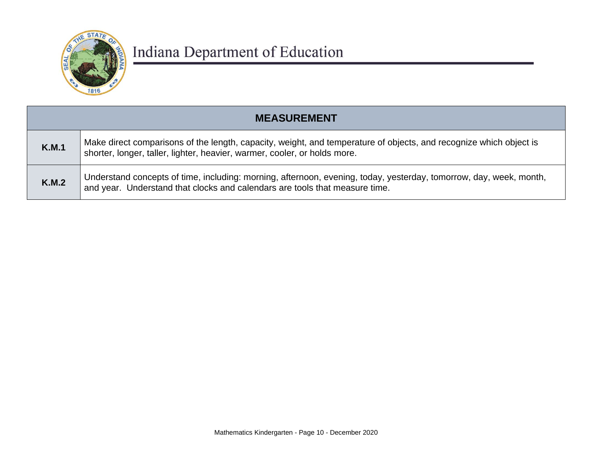

| <b>MEASUREMENT</b> |                                                                                                                                                                                                   |  |
|--------------------|---------------------------------------------------------------------------------------------------------------------------------------------------------------------------------------------------|--|
| <b>K.M.1</b>       | Make direct comparisons of the length, capacity, weight, and temperature of objects, and recognize which object is<br>shorter, longer, taller, lighter, heavier, warmer, cooler, or holds more.   |  |
| <b>K.M.2</b>       | Understand concepts of time, including: morning, afternoon, evening, today, yesterday, tomorrow, day, week, month,<br>and year. Understand that clocks and calendars are tools that measure time. |  |